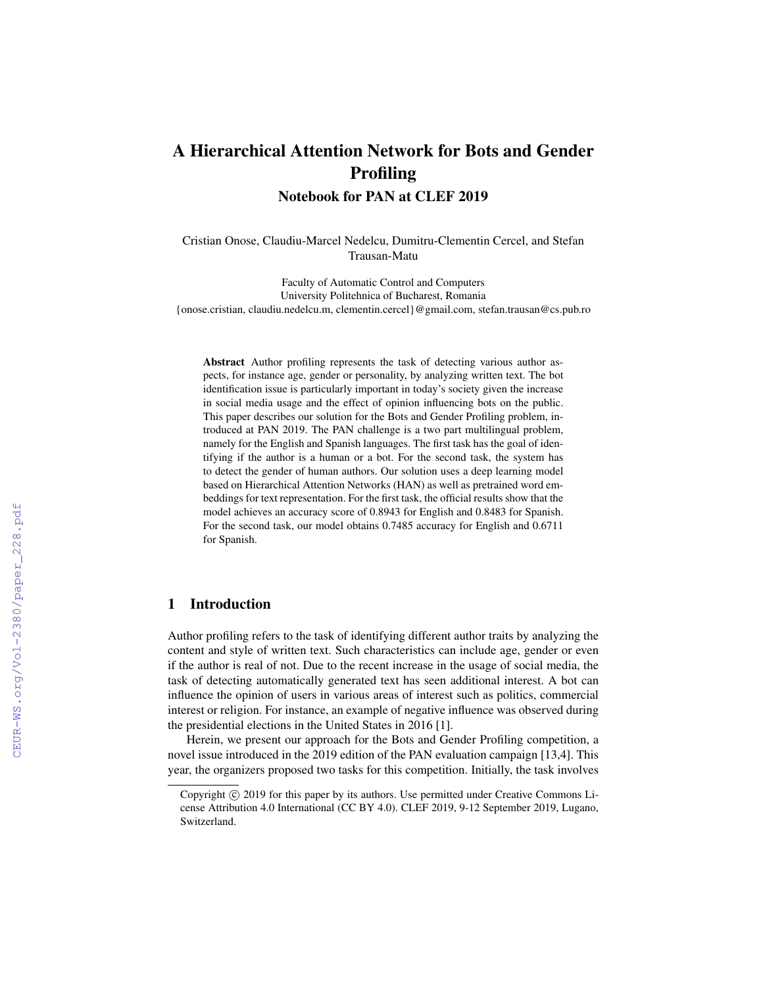# A Hierarchical Attention Network for Bots and Gender Profiling

Notebook for PAN at CLEF 2019

Cristian Onose, Claudiu-Marcel Nedelcu, Dumitru-Clementin Cercel, and Stefan Trausan-Matu

Faculty of Automatic Control and Computers University Politehnica of Bucharest, Romania {onose.cristian, claudiu.nedelcu.m, clementin.cercel}@gmail.com, stefan.trausan@cs.pub.ro

Abstract Author profiling represents the task of detecting various author aspects, for instance age, gender or personality, by analyzing written text. The bot identification issue is particularly important in today's society given the increase in social media usage and the effect of opinion influencing bots on the public. This paper describes our solution for the Bots and Gender Profiling problem, introduced at PAN 2019. The PAN challenge is a two part multilingual problem, namely for the English and Spanish languages. The first task has the goal of identifying if the author is a human or a bot. For the second task, the system has to detect the gender of human authors. Our solution uses a deep learning model based on Hierarchical Attention Networks (HAN) as well as pretrained word embeddings for text representation. For the first task, the official results show that the model achieves an accuracy score of 0.8943 for English and 0.8483 for Spanish. For the second task, our model obtains 0.7485 accuracy for English and 0.6711 for Spanish.

#### 1 Introduction

Author profiling refers to the task of identifying different author traits by analyzing the content and style of written text. Such characteristics can include age, gender or even if the author is real of not. Due to the recent increase in the usage of social media, the task of detecting automatically generated text has seen additional interest. A bot can influence the opinion of users in various areas of interest such as politics, commercial interest or religion. For instance, an example of negative influence was observed during the presidential elections in the United States in 2016 [1].

Herein, we present our approach for the Bots and Gender Profiling competition, a novel issue introduced in the 2019 edition of the PAN evaluation campaign [13,4]. This year, the organizers proposed two tasks for this competition. Initially, the task involves

Copyright  $\odot$  2019 for this paper by its authors. Use permitted under Creative Commons License Attribution 4.0 International (CC BY 4.0). CLEF 2019, 9-12 September 2019, Lugano, Switzerland.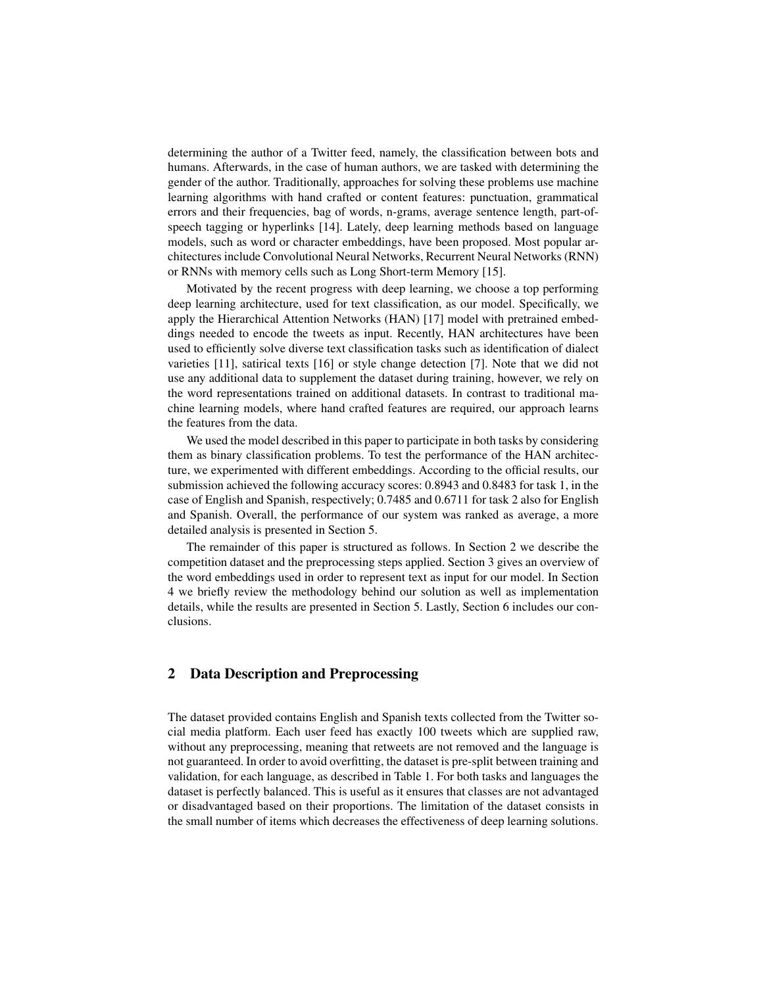determining the author of a Twitter feed, namely, the classification between bots and humans. Afterwards, in the case of human authors, we are tasked with determining the gender of the author. Traditionally, approaches for solving these problems use machine learning algorithms with hand crafted or content features: punctuation, grammatical errors and their frequencies, bag of words, n-grams, average sentence length, part-ofspeech tagging or hyperlinks [14]. Lately, deep learning methods based on language models, such as word or character embeddings, have been proposed. Most popular architectures include Convolutional Neural Networks, Recurrent Neural Networks (RNN) or RNNs with memory cells such as Long Short-term Memory [15].

Motivated by the recent progress with deep learning, we choose a top performing deep learning architecture, used for text classification, as our model. Specifically, we apply the Hierarchical Attention Networks (HAN) [17] model with pretrained embeddings needed to encode the tweets as input. Recently, HAN architectures have been used to efficiently solve diverse text classification tasks such as identification of dialect varieties [11], satirical texts [16] or style change detection [7]. Note that we did not use any additional data to supplement the dataset during training, however, we rely on the word representations trained on additional datasets. In contrast to traditional machine learning models, where hand crafted features are required, our approach learns the features from the data.

We used the model described in this paper to participate in both tasks by considering them as binary classification problems. To test the performance of the HAN architecture, we experimented with different embeddings. According to the official results, our submission achieved the following accuracy scores: 0.8943 and 0.8483 for task 1, in the case of English and Spanish, respectively; 0.7485 and 0.6711 for task 2 also for English and Spanish. Overall, the performance of our system was ranked as average, a more detailed analysis is presented in Section 5.

The remainder of this paper is structured as follows. In Section 2 we describe the competition dataset and the preprocessing steps applied. Section 3 gives an overview of the word embeddings used in order to represent text as input for our model. In Section 4 we briefly review the methodology behind our solution as well as implementation details, while the results are presented in Section 5. Lastly, Section 6 includes our conclusions.

## 2 Data Description and Preprocessing

The dataset provided contains English and Spanish texts collected from the Twitter social media platform. Each user feed has exactly 100 tweets which are supplied raw, without any preprocessing, meaning that retweets are not removed and the language is not guaranteed. In order to avoid overfitting, the dataset is pre-split between training and validation, for each language, as described in Table 1. For both tasks and languages the dataset is perfectly balanced. This is useful as it ensures that classes are not advantaged or disadvantaged based on their proportions. The limitation of the dataset consists in the small number of items which decreases the effectiveness of deep learning solutions.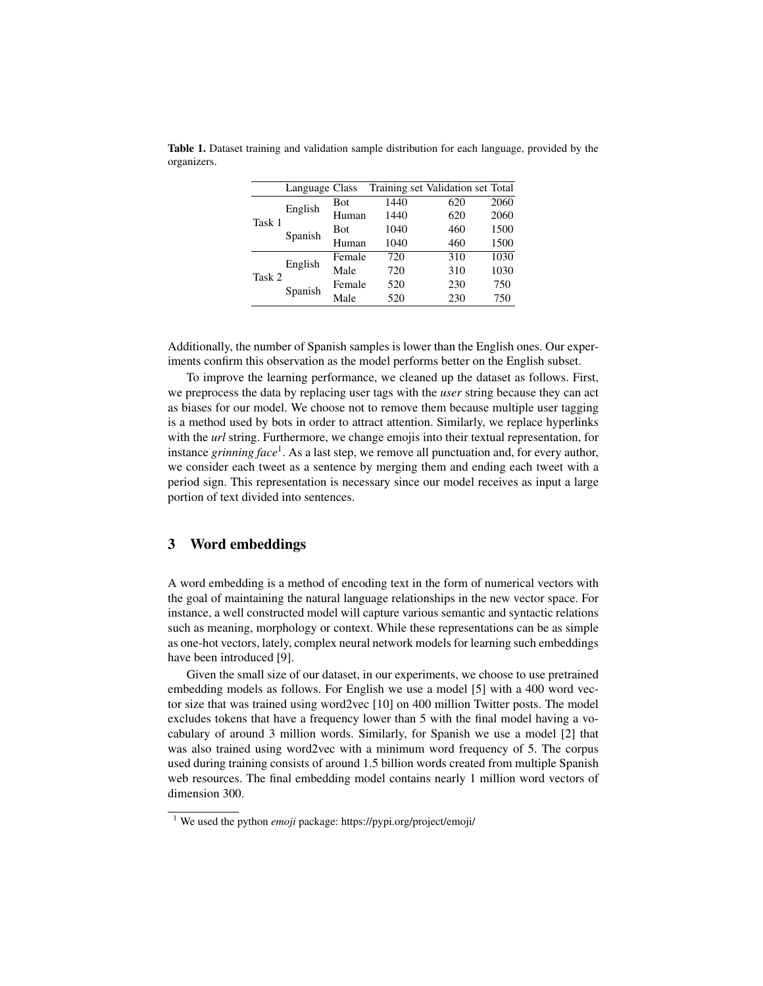|        | Language Class |            |      | Training set Validation set Total |      |
|--------|----------------|------------|------|-----------------------------------|------|
| Task 1 | English        | Bot        | 1440 | 620                               | 2060 |
|        |                | Human      | 1440 | 620                               | 2060 |
|        | Spanish        | <b>Bot</b> | 1040 | 460                               | 1500 |
|        |                | Human      | 1040 | 460                               | 1500 |
| Task 2 | English        | Female     | 720  | 310                               | 1030 |
|        |                | Male       | 720  | 310                               | 1030 |
|        | Spanish        | Female     | 520  | 230                               | 750  |
|        |                | Male       | 520  | 230                               | 750  |

Table 1. Dataset training and validation sample distribution for each language, provided by the organizers.

Additionally, the number of Spanish samples is lower than the English ones. Our experiments confirm this observation as the model performs better on the English subset.

To improve the learning performance, we cleaned up the dataset as follows. First, we preprocess the data by replacing user tags with the *user* string because they can act as biases for our model. We choose not to remove them because multiple user tagging is a method used by bots in order to attract attention. Similarly, we replace hyperlinks with the *url* string. Furthermore, we change emojis into their textual representation, for instance *grinning face*<sup>1</sup> . As a last step, we remove all punctuation and, for every author, we consider each tweet as a sentence by merging them and ending each tweet with a period sign. This representation is necessary since our model receives as input a large portion of text divided into sentences.

#### 3 Word embeddings

A word embedding is a method of encoding text in the form of numerical vectors with the goal of maintaining the natural language relationships in the new vector space. For instance, a well constructed model will capture various semantic and syntactic relations such as meaning, morphology or context. While these representations can be as simple as one-hot vectors, lately, complex neural network models for learning such embeddings have been introduced [9].

Given the small size of our dataset, in our experiments, we choose to use pretrained embedding models as follows. For English we use a model [5] with a 400 word vector size that was trained using word2vec [10] on 400 million Twitter posts. The model excludes tokens that have a frequency lower than 5 with the final model having a vocabulary of around 3 million words. Similarly, for Spanish we use a model [2] that was also trained using word2vec with a minimum word frequency of 5. The corpus used during training consists of around 1.5 billion words created from multiple Spanish web resources. The final embedding model contains nearly 1 million word vectors of dimension 300.

<sup>1</sup> We used the python *emoji* package: https://pypi.org/project/emoji/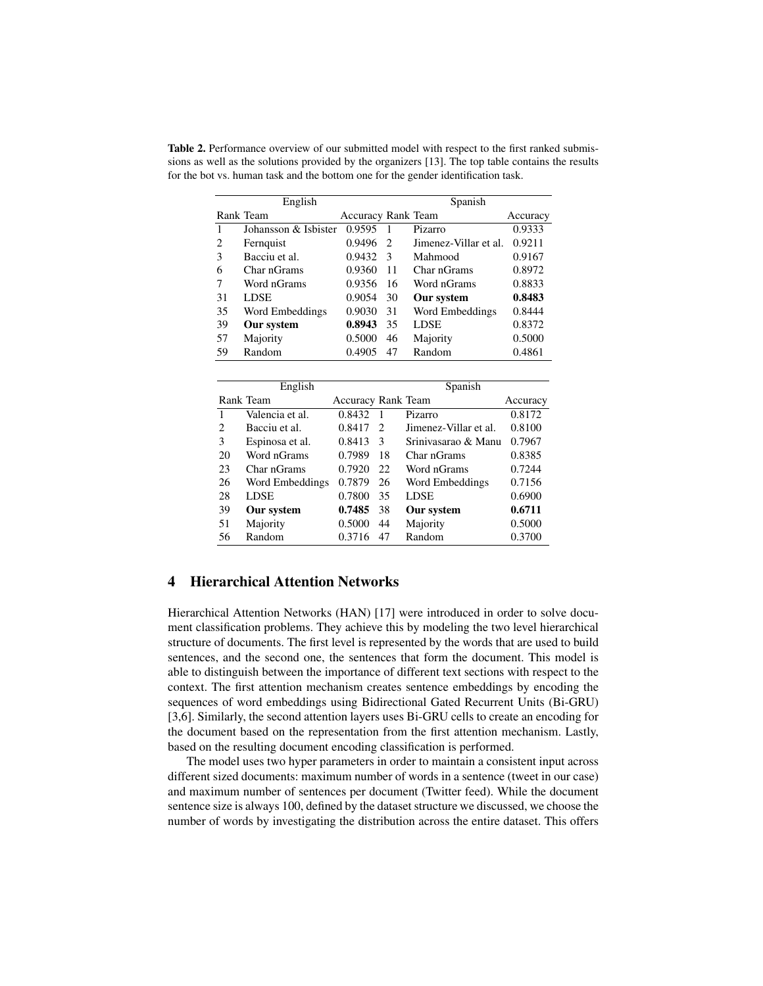Table 2. Performance overview of our submitted model with respect to the first ranked submissions as well as the solutions provided by the organizers [13]. The top table contains the results for the bot vs. human task and the bottom one for the gender identification task.

| English |                      |                           | Spanish       |                       |          |
|---------|----------------------|---------------------------|---------------|-----------------------|----------|
|         | Rank Team            | <b>Accuracy Rank Team</b> |               |                       | Accuracy |
|         | Johansson & Isbister | 0.9595                    |               | Pizarro               | 0.9333   |
| 2       | Fernquist            | 0.9496                    | - 2           | Jimenez-Villar et al. | 0.9211   |
| 3       | Bacciu et al.        | 0.9432                    | $\mathcal{E}$ | Mahmood               | 0.9167   |
| 6       | Char nGrams          | 0.9360                    | 11            | Char nGrams           | 0.8972   |
|         | Word nGrams          | 0.9356                    | 16            | Word nGrams           | 0.8833   |
| 31      | <b>LDSE</b>          | 0.9054                    | 30            | Our system            | 0.8483   |
| 35      | Word Embeddings      | 0.9030                    | 31            | Word Embeddings       | 0.8444   |
| 39      | Our system           | 0.8943                    | 35            | <b>LDSE</b>           | 0.8372   |
| 57      | Majority             | 0.5000                    | 46            | Majority              | 0.5000   |
| 59      | Random               | 0.4905                    | 47            | Random                | 0.4861   |

| English                     |                 |                           | Spanish       |                       |          |
|-----------------------------|-----------------|---------------------------|---------------|-----------------------|----------|
|                             | Rank Team       | <b>Accuracy Rank Team</b> |               |                       | Accuracy |
| 1                           | Valencia et al. | 0.8432                    | $\mathbf{1}$  | Pizarro               | 0.8172   |
| $\mathcal{D}_{\mathcal{L}}$ | Bacciu et al.   | 0.8417                    | $\mathcal{L}$ | Jimenez-Villar et al. | 0.8100   |
| $\mathcal{F}$               | Espinosa et al. | 0.8413                    | 3             | Sriniyasarao & Manu   | 0.7967   |
| 20                          | Word nGrams     | 0.7989                    | 18            | Char nGrams           | 0.8385   |
| 23                          | Char nGrams     | 0.7920                    | 22.           | Word nGrams           | 0.7244   |
| 26                          | Word Embeddings | 0.7879                    | 26            | Word Embeddings       | 0.7156   |
| 28                          | <b>LDSE</b>     | 0.7800                    | 35            | <b>LDSE</b>           | 0.6900   |
| 39                          | Our system      | 0.7485                    | 38            | Our system            | 0.6711   |
| 51                          | Majority        | 0.5000                    | 44            | Majority              | 0.5000   |
| 56                          | Random          | 0.3716                    | 47            | Random                | 0.3700   |

## 4 Hierarchical Attention Networks

Hierarchical Attention Networks (HAN) [17] were introduced in order to solve document classification problems. They achieve this by modeling the two level hierarchical structure of documents. The first level is represented by the words that are used to build sentences, and the second one, the sentences that form the document. This model is able to distinguish between the importance of different text sections with respect to the context. The first attention mechanism creates sentence embeddings by encoding the sequences of word embeddings using Bidirectional Gated Recurrent Units (Bi-GRU) [3,6]. Similarly, the second attention layers uses Bi-GRU cells to create an encoding for the document based on the representation from the first attention mechanism. Lastly, based on the resulting document encoding classification is performed.

The model uses two hyper parameters in order to maintain a consistent input across different sized documents: maximum number of words in a sentence (tweet in our case) and maximum number of sentences per document (Twitter feed). While the document sentence size is always 100, defined by the dataset structure we discussed, we choose the number of words by investigating the distribution across the entire dataset. This offers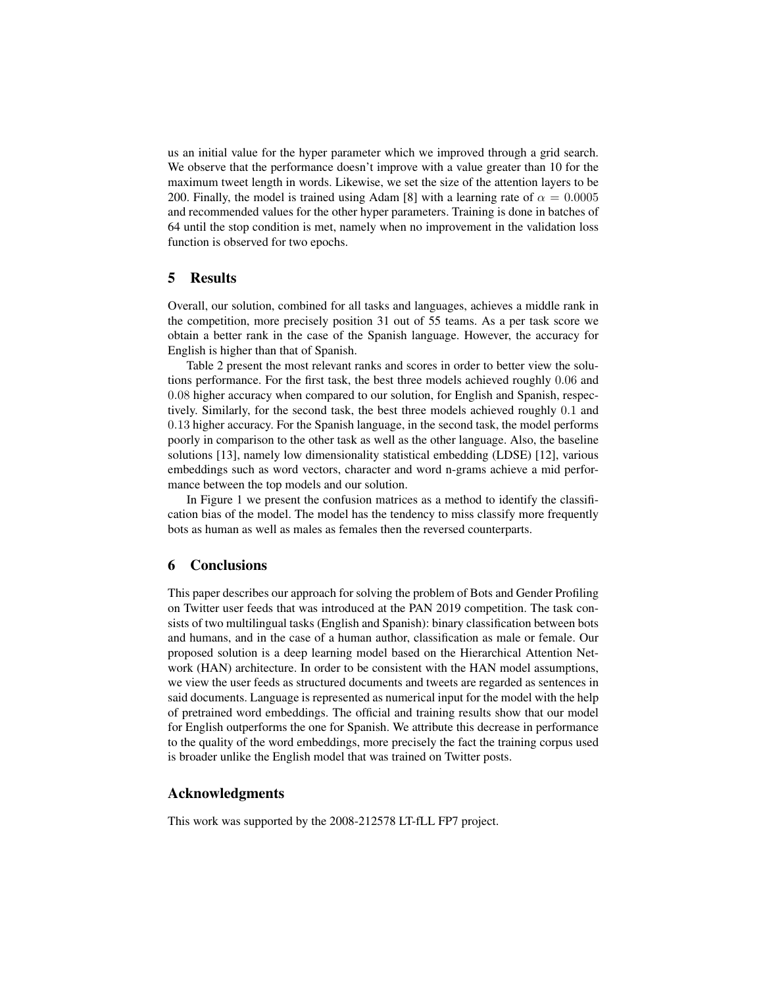us an initial value for the hyper parameter which we improved through a grid search. We observe that the performance doesn't improve with a value greater than 10 for the maximum tweet length in words. Likewise, we set the size of the attention layers to be 200. Finally, the model is trained using Adam [8] with a learning rate of  $\alpha = 0.0005$ and recommended values for the other hyper parameters. Training is done in batches of 64 until the stop condition is met, namely when no improvement in the validation loss function is observed for two epochs.

#### 5 Results

Overall, our solution, combined for all tasks and languages, achieves a middle rank in the competition, more precisely position 31 out of 55 teams. As a per task score we obtain a better rank in the case of the Spanish language. However, the accuracy for English is higher than that of Spanish.

Table 2 present the most relevant ranks and scores in order to better view the solutions performance. For the first task, the best three models achieved roughly 0.06 and 0.08 higher accuracy when compared to our solution, for English and Spanish, respectively. Similarly, for the second task, the best three models achieved roughly 0.1 and 0.13 higher accuracy. For the Spanish language, in the second task, the model performs poorly in comparison to the other task as well as the other language. Also, the baseline solutions [13], namely low dimensionality statistical embedding (LDSE) [12], various embeddings such as word vectors, character and word n-grams achieve a mid performance between the top models and our solution.

In Figure 1 we present the confusion matrices as a method to identify the classification bias of the model. The model has the tendency to miss classify more frequently bots as human as well as males as females then the reversed counterparts.

#### 6 Conclusions

This paper describes our approach for solving the problem of Bots and Gender Profiling on Twitter user feeds that was introduced at the PAN 2019 competition. The task consists of two multilingual tasks (English and Spanish): binary classification between bots and humans, and in the case of a human author, classification as male or female. Our proposed solution is a deep learning model based on the Hierarchical Attention Network (HAN) architecture. In order to be consistent with the HAN model assumptions, we view the user feeds as structured documents and tweets are regarded as sentences in said documents. Language is represented as numerical input for the model with the help of pretrained word embeddings. The official and training results show that our model for English outperforms the one for Spanish. We attribute this decrease in performance to the quality of the word embeddings, more precisely the fact the training corpus used is broader unlike the English model that was trained on Twitter posts.

## Acknowledgments

This work was supported by the 2008-212578 LT-fLL FP7 project.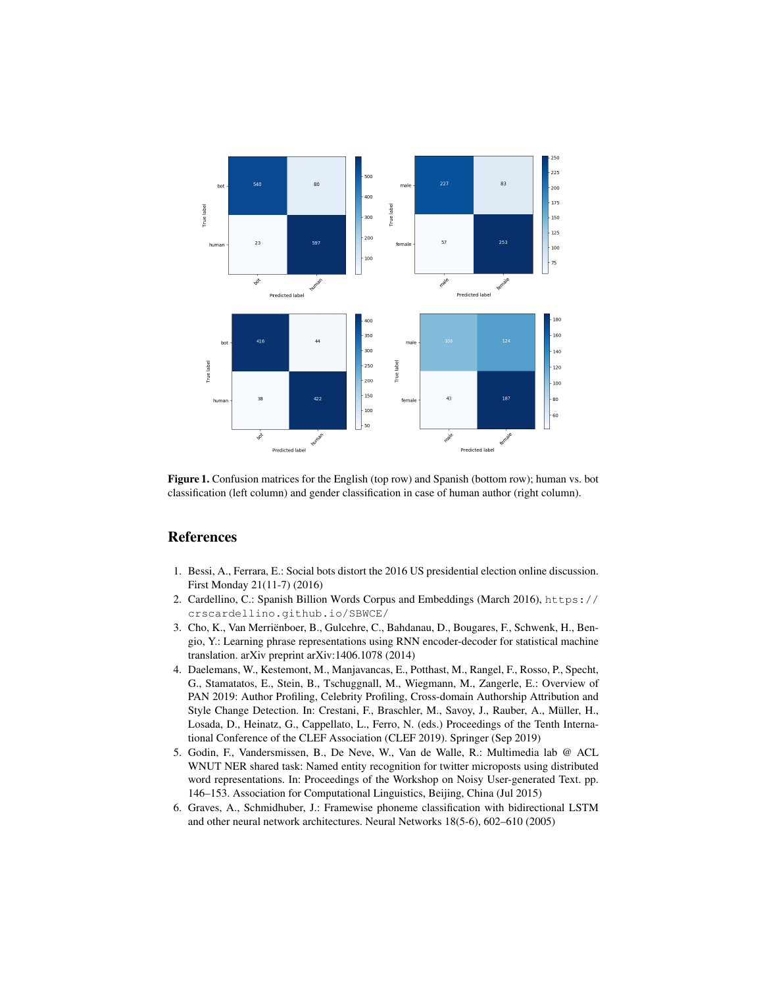

Figure 1. Confusion matrices for the English (top row) and Spanish (bottom row); human vs. bot classification (left column) and gender classification in case of human author (right column).

## References

- 1. Bessi, A., Ferrara, E.: Social bots distort the 2016 US presidential election online discussion. First Monday 21(11-7) (2016)
- 2. Cardellino, C.: Spanish Billion Words Corpus and Embeddings (March 2016), https:// crscardellino.github.io/SBWCE/
- 3. Cho, K., Van Merriënboer, B., Gulcehre, C., Bahdanau, D., Bougares, F., Schwenk, H., Bengio, Y.: Learning phrase representations using RNN encoder-decoder for statistical machine translation. arXiv preprint arXiv:1406.1078 (2014)
- 4. Daelemans, W., Kestemont, M., Manjavancas, E., Potthast, M., Rangel, F., Rosso, P., Specht, G., Stamatatos, E., Stein, B., Tschuggnall, M., Wiegmann, M., Zangerle, E.: Overview of PAN 2019: Author Profiling, Celebrity Profiling, Cross-domain Authorship Attribution and Style Change Detection. In: Crestani, F., Braschler, M., Savoy, J., Rauber, A., Müller, H., Losada, D., Heinatz, G., Cappellato, L., Ferro, N. (eds.) Proceedings of the Tenth International Conference of the CLEF Association (CLEF 2019). Springer (Sep 2019)
- 5. Godin, F., Vandersmissen, B., De Neve, W., Van de Walle, R.: Multimedia lab @ ACL WNUT NER shared task: Named entity recognition for twitter microposts using distributed word representations. In: Proceedings of the Workshop on Noisy User-generated Text. pp. 146–153. Association for Computational Linguistics, Beijing, China (Jul 2015)
- 6. Graves, A., Schmidhuber, J.: Framewise phoneme classification with bidirectional LSTM and other neural network architectures. Neural Networks 18(5-6), 602–610 (2005)